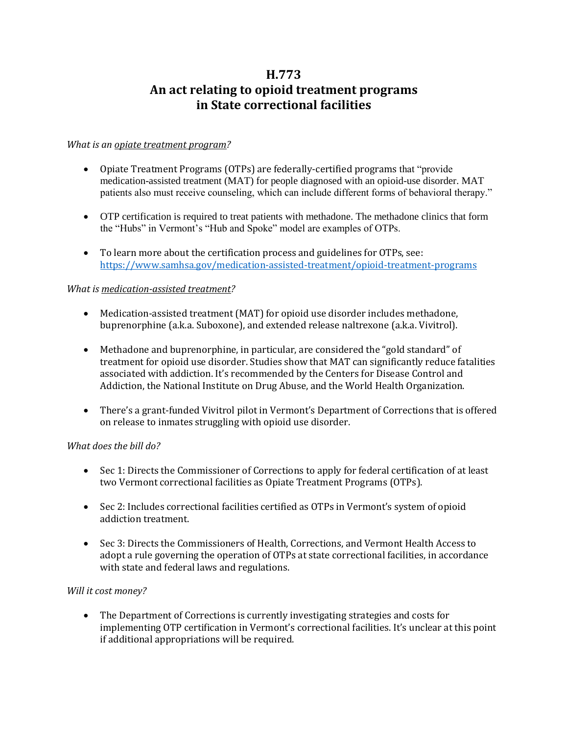# **H.773 An act relating to opioid treatment programs in State correctional facilities**

### *What is an opiate treatment program?*

- Opiate Treatment Programs (OTPs) are federally-certified programs that "provide medication-assisted treatment (MAT) for people diagnosed with an opioid-use disorder. MAT patients also must receive counseling, which can include different forms of behavioral therapy."
- OTP certification is required to treat patients with methadone. The methadone clinics that form the "Hubs" in Vermont's "Hub and Spoke" model are examples of OTPs.
- To learn more about the certification process and guidelines for OTPs, see: <https://www.samhsa.gov/medication-assisted-treatment/opioid-treatment-programs>

#### *What is medication-assisted treatment?*

- Medication-assisted treatment (MAT) for opioid use disorder includes methadone, buprenorphine (a.k.a. Suboxone), and extended release naltrexone (a.k.a. Vivitrol).
- Methadone and buprenorphine, in particular, are considered the "gold standard" of treatment for opioid use disorder. Studies show that MAT can significantly reduce fatalities associated with addiction. It's recommended by the Centers for Disease Control and Addiction, the National Institute on Drug Abuse, and the World Health Organization.
- There's a grant-funded Vivitrol pilot in Vermont's Department of Corrections that is offered on release to inmates struggling with opioid use disorder.

## *What does the bill do?*

- Sec 1: Directs the Commissioner of Corrections to apply for federal certification of at least two Vermont correctional facilities as Opiate Treatment Programs (OTPs).
- Sec 2: Includes correctional facilities certified as OTPs in Vermont's system of opioid addiction treatment.
- Sec 3: Directs the Commissioners of Health, Corrections, and Vermont Health Access to adopt a rule governing the operation of OTPs at state correctional facilities, in accordance with state and federal laws and regulations.

## *Will it cost money?*

 The Department of Corrections is currently investigating strategies and costs for implementing OTP certification in Vermont's correctional facilities. It's unclear at this point if additional appropriations will be required.